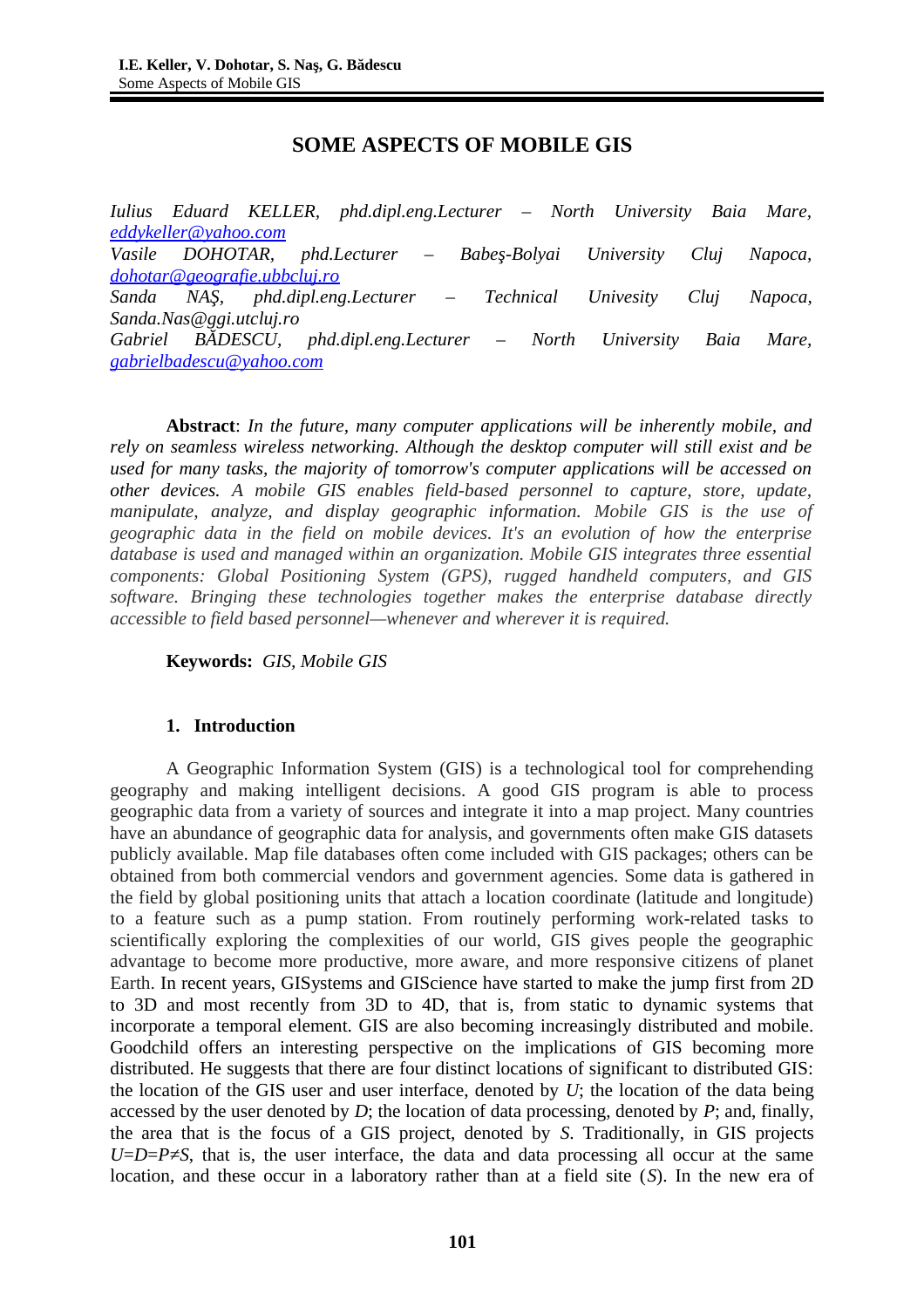# **SOME ASPECTS OF MOBILE GIS**

*Iulius Eduard KELLER, phd.dipl.eng.Lecturer – North University Baia Mare, [eddykeller@yahoo.com](mailto:eddykeller@yahoo.com) Vasile DOHOTAR, phd.Lecturer – Babeş-Bolyai University Cluj Napoca, [dohotar@geografie.ubbcluj.ro](mailto:dohotar@geografie.ubbcluj.ro) Sanda NAŞ, phd.dipl.eng.Lecturer – Technical Univesity Cluj Napoca, Sanda.Nas@ggi.utcluj.ro Gabriel BĂDESCU, phd.dipl.eng.Lecturer – North University Baia Mare, [gabrielbadescu@yahoo.com](mailto:gabrielbadescu@yahoo.com)*

**Abstract**: *In the future, many computer applications will be inherently mobile, and rely on seamless wireless networking. Although the desktop computer will still exist and be used for many tasks, the majority of tomorrow's computer applications will be accessed on other devices. A mobile GIS enables field-based personnel to capture, store, update, manipulate, analyze, and display geographic information. Mobile GIS is the use of geographic data in the field on mobile devices. It's an evolution of how the enterprise database is used and managed within an organization. Mobile GIS integrates three essential components: Global Positioning System (GPS), rugged handheld computers, and GIS software. Bringing these technologies together makes the enterprise database directly accessible to field based personnel—whenever and wherever it is required.*

**Keywords:** *GIS, Mobile GIS*

# **1. Introduction**

A Geographic Information System (GIS) is a technological tool for comprehending geography and making intelligent decisions. A good GIS program is able to process geographic data from a variety of sources and integrate it into a map project. Many countries have an abundance of geographic data for analysis, and governments often make GIS datasets publicly available. Map file databases often come included with GIS packages; others can be obtained from both commercial vendors and government agencies. Some data is gathered in the field by global positioning units that attach a location coordinate (latitude and longitude) to a feature such as a pump station. From routinely performing work-related tasks to scientifically exploring the complexities of our world, GIS gives people the geographic advantage to become more productive, more aware, and more responsive citizens of planet Earth. In recent years, GISystems and GIScience have started to make the jump first from 2D to 3D and most recently from 3D to 4D, that is, from static to dynamic systems that incorporate a temporal element. GIS are also becoming increasingly distributed and mobile. Goodchild offers an interesting perspective on the implications of GIS becoming more distributed. He suggests that there are four distinct locations of significant to distributed GIS: the location of the GIS user and user interface, denoted by *U*; the location of the data being accessed by the user denoted by *D*; the location of data processing, denoted by *P*; and, finally, the area that is the focus of a GIS project, denoted by *S*. Traditionally, in GIS projects *U*=*D*=*P≠S*, that is, the user interface, the data and data processing all occur at the same location, and these occur in a laboratory rather than at a field site (*S*). In the new era of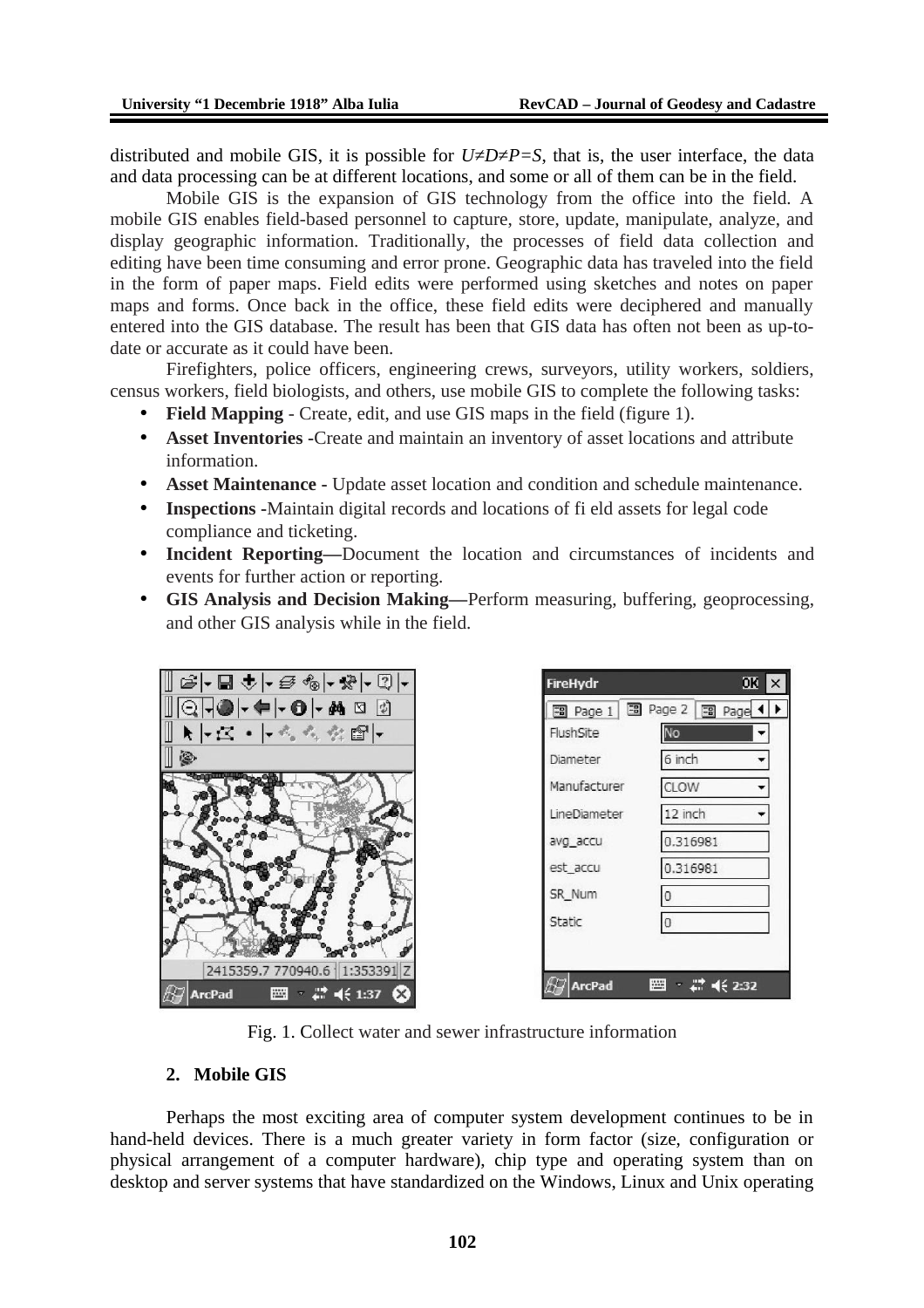distributed and mobile GIS, it is possible for  $U\neq D\neq P=S$ , that is, the user interface, the data and data processing can be at different locations, and some or all of them can be in the field.

Mobile GIS is the expansion of GIS technology from the office into the field. A mobile GIS enables field-based personnel to capture, store, update, manipulate, analyze, and display geographic information. Traditionally, the processes of field data collection and editing have been time consuming and error prone. Geographic data has traveled into the field in the form of paper maps. Field edits were performed using sketches and notes on paper maps and forms. Once back in the office, these field edits were deciphered and manually entered into the GIS database. The result has been that GIS data has often not been as up-todate or accurate as it could have been.

Firefighters, police officers, engineering crews, surveyors, utility workers, soldiers, census workers, field biologists, and others, use mobile GIS to complete the following tasks:

- **Field Mapping**  Create, edit, and use GIS maps in the field (figure 1).
- **Asset Inventories -**Create and maintain an inventory of asset locations and attribute information.
- **Asset Maintenance** Update asset location and condition and schedule maintenance.
- **Inspections -**Maintain digital records and locations of fi eld assets for legal code compliance and ticketing.
- **Incident Reporting—**Document the location and circumstances of incidents and events for further action or reporting.
- **GIS Analysis and Decision Making—**Perform measuring, buffering, geoprocessing, and other GIS analysis while in the field.



| <b>FireHydr</b>          | OK                   | $\times$ |
|--------------------------|----------------------|----------|
| 图 Page 1 图 Page 2 图 Page |                      |          |
| FlushSite                | No                   |          |
| Diameter                 | 6 inch               |          |
| Manufacturer             | CLOW                 |          |
| LineDiameter             | 12 inch              |          |
| avg_accu                 | 0.316981             |          |
| est accu                 | 0.316981             |          |
| SR_Num                   | $\overline{0}$       |          |
| Static                   | $\overline{0}$       |          |
|                          |                      |          |
| ArcPad                   | <b>SSS</b><br>462:32 |          |

Fig. 1. Collect water and sewer infrastructure information

#### **2. Mobile GIS**

Perhaps the most exciting area of computer system development continues to be in hand-held devices. There is a much greater variety in form factor (size, configuration or physical arrangement of a computer hardware), chip type and operating system than on desktop and server systems that have standardized on the Windows, Linux and Unix operating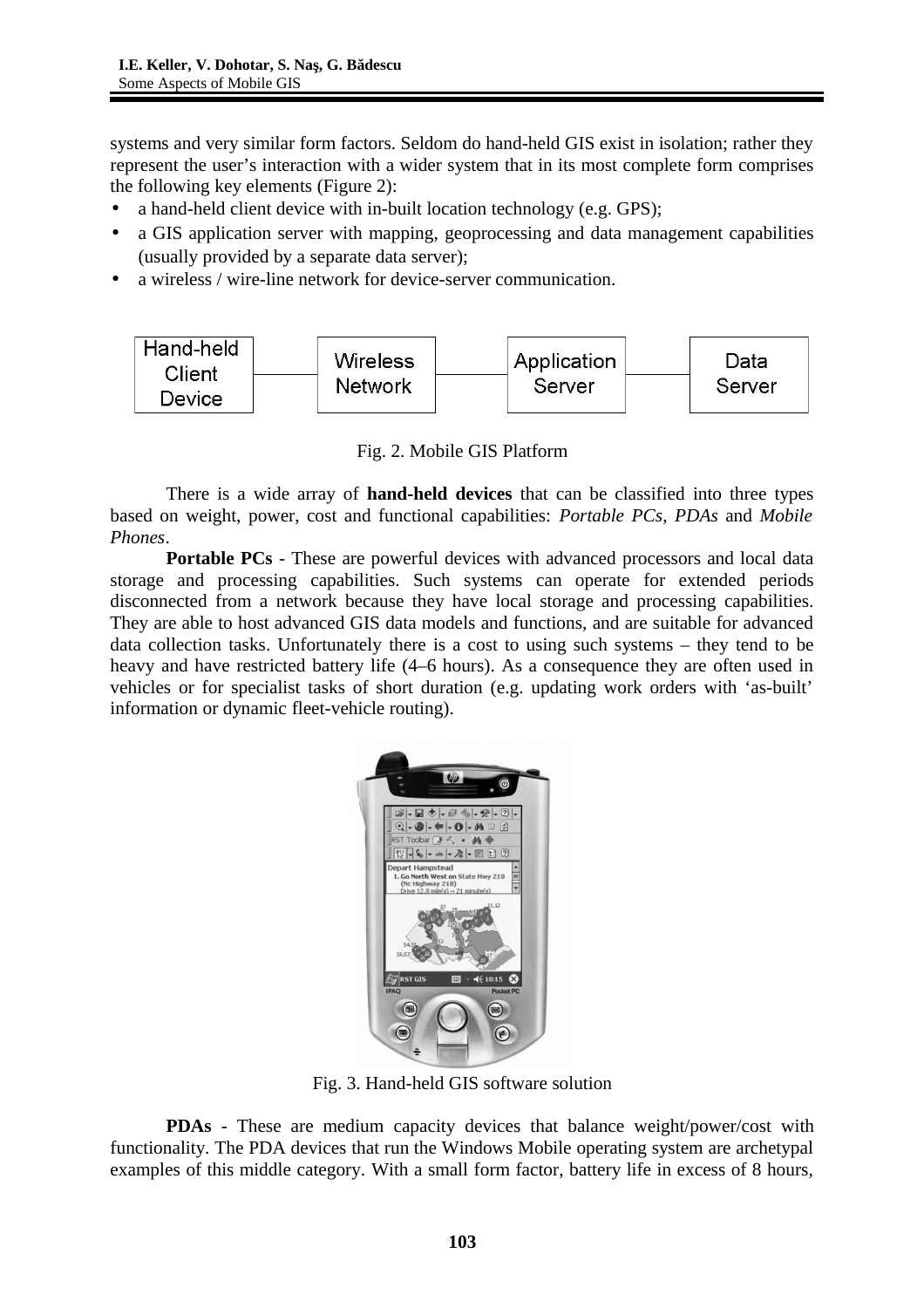systems and very similar form factors. Seldom do hand-held GIS exist in isolation; rather they represent the user's interaction with a wider system that in its most complete form comprises the following key elements (Figure 2):

- a hand-held client device with in-built location technology (e.g. GPS);
- a GIS application server with mapping, geoprocessing and data management capabilities (usually provided by a separate data server);
- a wireless / wire-line network for device-server communication.



Fig. 2. Mobile GIS Platform

There is a wide array of **hand-held devices** that can be classified into three types based on weight, power, cost and functional capabilities: *Portable PCs*, *PDAs* and *Mobile Phones*.

**Portable PCs** - These are powerful devices with advanced processors and local data storage and processing capabilities. Such systems can operate for extended periods disconnected from a network because they have local storage and processing capabilities. They are able to host advanced GIS data models and functions, and are suitable for advanced data collection tasks. Unfortunately there is a cost to using such systems – they tend to be heavy and have restricted battery life (4–6 hours). As a consequence they are often used in vehicles or for specialist tasks of short duration (e.g. updating work orders with 'as-built' information or dynamic fleet-vehicle routing).



Fig. 3. Hand-held GIS software solution

**PDAs** - These are medium capacity devices that balance weight/power/cost with functionality. The PDA devices that run the Windows Mobile operating system are archetypal examples of this middle category. With a small form factor, battery life in excess of 8 hours,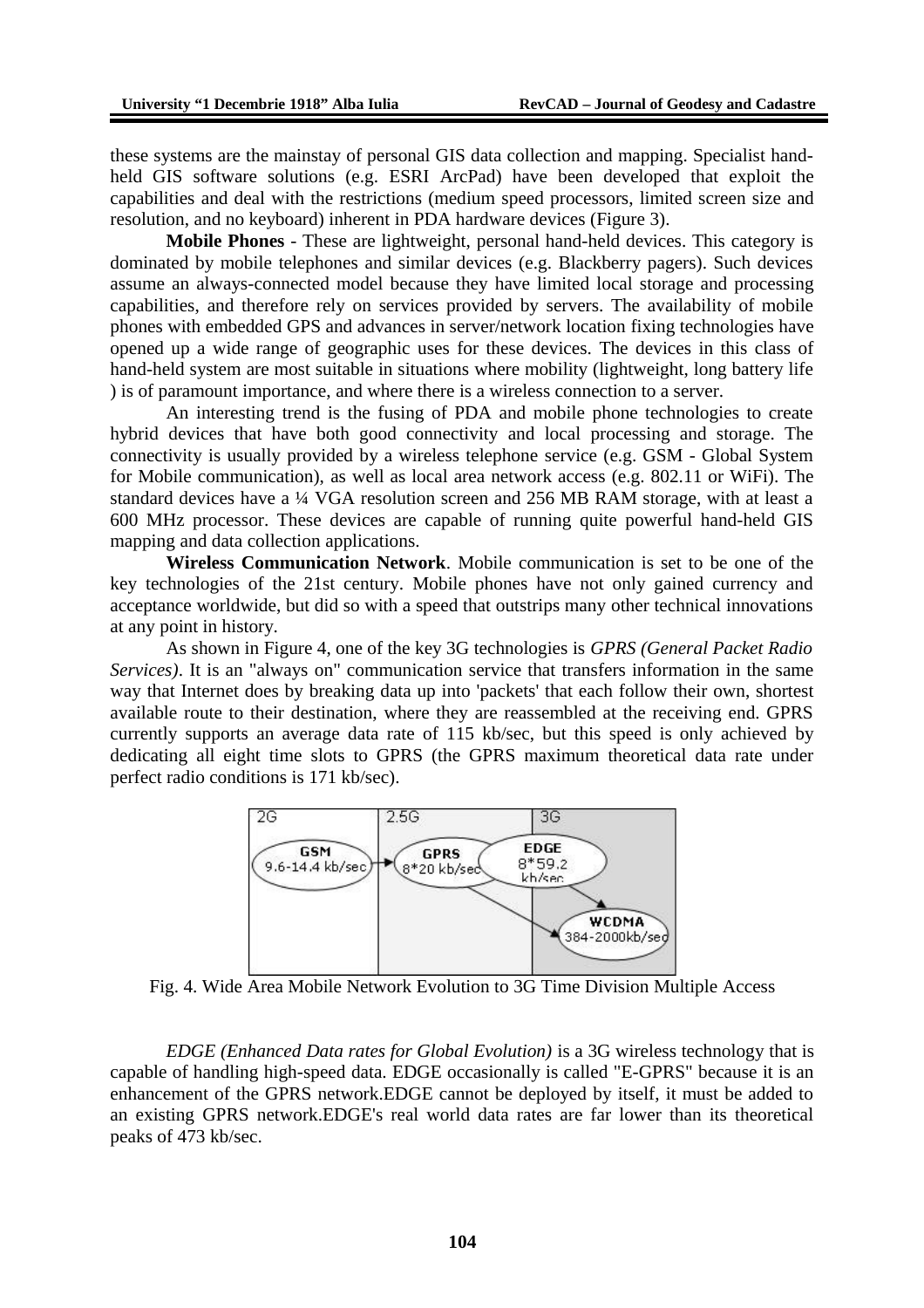these systems are the mainstay of personal GIS data collection and mapping. Specialist handheld GIS software solutions (e.g. ESRI ArcPad) have been developed that exploit the capabilities and deal with the restrictions (medium speed processors, limited screen size and resolution, and no keyboard) inherent in PDA hardware devices (Figure 3).

**Mobile Phones** - These are lightweight, personal hand-held devices. This category is dominated by mobile telephones and similar devices (e.g. Blackberry pagers). Such devices assume an always-connected model because they have limited local storage and processing capabilities, and therefore rely on services provided by servers. The availability of mobile phones with embedded GPS and advances in server/network location fixing technologies have opened up a wide range of geographic uses for these devices. The devices in this class of hand-held system are most suitable in situations where mobility (lightweight, long battery life ) is of paramount importance, and where there is a wireless connection to a server.

An interesting trend is the fusing of PDA and mobile phone technologies to create hybrid devices that have both good connectivity and local processing and storage. The connectivity is usually provided by a wireless telephone service (e.g. GSM - Global System for Mobile communication), as well as local area network access (e.g. 802.11 or WiFi). The standard devices have a ¼ VGA resolution screen and 256 MB RAM storage, with at least a 600 MHz processor. These devices are capable of running quite powerful hand-held GIS mapping and data collection applications.

**Wireless Communication Network**. Mobile communication is set to be one of the key technologies of the 21st century. Mobile phones have not only gained currency and acceptance worldwide, but did so with a speed that outstrips many other technical innovations at any point in history.

As shown in Figure 4, one of the key 3G technologies is *GPRS (General Packet Radio Services)*. It is an "always on" communication service that transfers information in the same way that Internet does by breaking data up into 'packets' that each follow their own, shortest available route to their destination, where they are reassembled at the receiving end. GPRS currently supports an average data rate of 115 kb/sec, but this speed is only achieved by dedicating all eight time slots to GPRS (the GPRS maximum theoretical data rate under perfect radio conditions is 171 kb/sec).



Fig. 4. Wide Area Mobile Network Evolution to 3G Time Division Multiple Access

*EDGE (Enhanced Data rates for Global Evolution)* is a 3G wireless technology that is capable of handling high-speed data. EDGE occasionally is called "E-GPRS" because it is an enhancement of the GPRS network.EDGE cannot be deployed by itself, it must be added to an existing GPRS network.EDGE's real world data rates are far lower than its theoretical peaks of 473 kb/sec.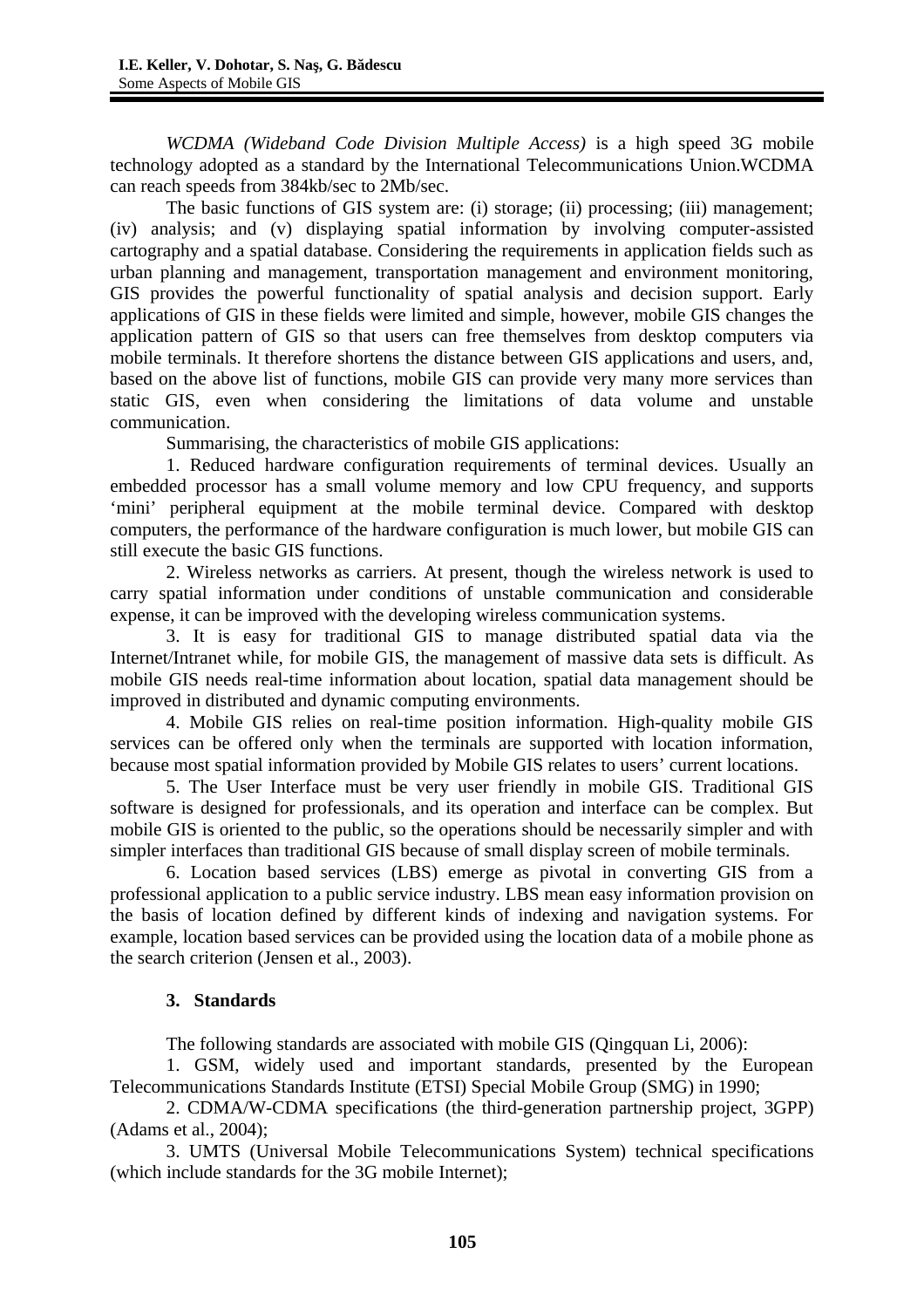*WCDMA (Wideband Code Division Multiple Access)* is a high speed 3G mobile technology adopted as a standard by the International Telecommunications Union.WCDMA can reach speeds from 384kb/sec to 2Mb/sec.

The basic functions of GIS system are: (i) storage; (ii) processing; (iii) management; (iv) analysis; and (v) displaying spatial information by involving computer-assisted cartography and a spatial database. Considering the requirements in application fields such as urban planning and management, transportation management and environment monitoring, GIS provides the powerful functionality of spatial analysis and decision support. Early applications of GIS in these fields were limited and simple, however, mobile GIS changes the application pattern of GIS so that users can free themselves from desktop computers via mobile terminals. It therefore shortens the distance between GIS applications and users, and, based on the above list of functions, mobile GIS can provide very many more services than static GIS, even when considering the limitations of data volume and unstable communication.

Summarising, the characteristics of mobile GIS applications:

1. Reduced hardware configuration requirements of terminal devices. Usually an embedded processor has a small volume memory and low CPU frequency, and supports 'mini' peripheral equipment at the mobile terminal device. Compared with desktop computers, the performance of the hardware configuration is much lower, but mobile GIS can still execute the basic GIS functions.

2. Wireless networks as carriers. At present, though the wireless network is used to carry spatial information under conditions of unstable communication and considerable expense, it can be improved with the developing wireless communication systems.

3. It is easy for traditional GIS to manage distributed spatial data via the Internet/Intranet while, for mobile GIS, the management of massive data sets is difficult. As mobile GIS needs real-time information about location, spatial data management should be improved in distributed and dynamic computing environments.

4. Mobile GIS relies on real-time position information. High-quality mobile GIS services can be offered only when the terminals are supported with location information, because most spatial information provided by Mobile GIS relates to users' current locations.

5. The User Interface must be very user friendly in mobile GIS. Traditional GIS software is designed for professionals, and its operation and interface can be complex. But mobile GIS is oriented to the public, so the operations should be necessarily simpler and with simpler interfaces than traditional GIS because of small display screen of mobile terminals.

6. Location based services (LBS) emerge as pivotal in converting GIS from a professional application to a public service industry. LBS mean easy information provision on the basis of location defined by different kinds of indexing and navigation systems. For example, location based services can be provided using the location data of a mobile phone as the search criterion (Jensen et al., 2003).

# **3. Standards**

The following standards are associated with mobile GIS (Qingquan Li, 2006):

1. GSM, widely used and important standards, presented by the European Telecommunications Standards Institute (ETSI) Special Mobile Group (SMG) in 1990;

2. CDMA/W-CDMA specifications (the third-generation partnership project, 3GPP) (Adams et al., 2004);

3. UMTS (Universal Mobile Telecommunications System) technical specifications (which include standards for the 3G mobile Internet);